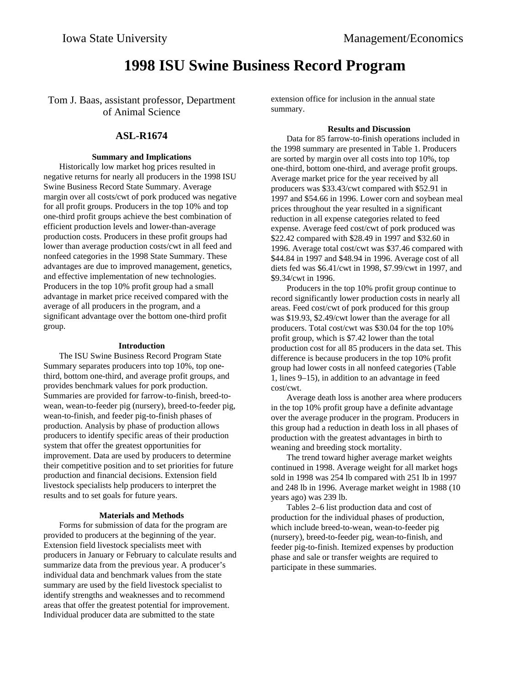# **1998 ISU Swine Business Record Program**

Tom J. Baas, assistant professor, Department of Animal Science

### **ASL-R1674**

#### **Summary and Implications**

Historically low market hog prices resulted in negative returns for nearly all producers in the 1998 ISU Swine Business Record State Summary. Average margin over all costs/cwt of pork produced was negative for all profit groups. Producers in the top 10% and top one-third profit groups achieve the best combination of efficient production levels and lower-than-average production costs. Producers in these profit groups had lower than average production costs/cwt in all feed and nonfeed categories in the 1998 State Summary. These advantages are due to improved management, genetics, and effective implementation of new technologies. Producers in the top 10% profit group had a small advantage in market price received compared with the average of all producers in the program, and a significant advantage over the bottom one-third profit group.

#### **Introduction**

The ISU Swine Business Record Program State Summary separates producers into top 10%, top onethird, bottom one-third, and average profit groups, and provides benchmark values for pork production. Summaries are provided for farrow-to-finish, breed-towean, wean-to-feeder pig (nursery), breed-to-feeder pig, wean-to-finish, and feeder pig-to-finish phases of production. Analysis by phase of production allows producers to identify specific areas of their production system that offer the greatest opportunities for improvement. Data are used by producers to determine their competitive position and to set priorities for future production and financial decisions. Extension field livestock specialists help producers to interpret the results and to set goals for future years.

#### **Materials and Methods**

Forms for submission of data for the program are provided to producers at the beginning of the year. Extension field livestock specialists meet with producers in January or February to calculate results and summarize data from the previous year. A producer's individual data and benchmark values from the state summary are used by the field livestock specialist to identify strengths and weaknesses and to recommend areas that offer the greatest potential for improvement. Individual producer data are submitted to the state

extension office for inclusion in the annual state summary.

#### **Results and Discussion**

Data for 85 farrow-to-finish operations included in the 1998 summary are presented in Table 1. Producers are sorted by margin over all costs into top 10%, top one-third, bottom one-third, and average profit groups. Average market price for the year received by all producers was \$33.43/cwt compared with \$52.91 in 1997 and \$54.66 in 1996. Lower corn and soybean meal prices throughout the year resulted in a significant reduction in all expense categories related to feed expense. Average feed cost/cwt of pork produced was \$22.42 compared with \$28.49 in 1997 and \$32.60 in 1996. Average total cost/cwt was \$37.46 compared with \$44.84 in 1997 and \$48.94 in 1996. Average cost of all diets fed was \$6.41/cwt in 1998, \$7.99/cwt in 1997, and \$9.34/cwt in 1996.

Producers in the top 10% profit group continue to record significantly lower production costs in nearly all areas. Feed cost/cwt of pork produced for this group was \$19.93, \$2.49/cwt lower than the average for all producers. Total cost/cwt was \$30.04 for the top 10% profit group, which is \$7.42 lower than the total production cost for all 85 producers in the data set. This difference is because producers in the top 10% profit group had lower costs in all nonfeed categories (Table 1, lines 9–15), in addition to an advantage in feed cost/cwt.

Average death loss is another area where producers in the top 10% profit group have a definite advantage over the average producer in the program. Producers in this group had a reduction in death loss in all phases of production with the greatest advantages in birth to weaning and breeding stock mortality.

The trend toward higher average market weights continued in 1998. Average weight for all market hogs sold in 1998 was 254 lb compared with 251 lb in 1997 and 248 lb in 1996. Average market weight in 1988 (10 years ago) was 239 lb.

Tables 2–6 list production data and cost of production for the individual phases of production, which include breed-to-wean, wean-to-feeder pig (nursery), breed-to-feeder pig, wean-to-finish, and feeder pig-to-finish. Itemized expenses by production phase and sale or transfer weights are required to participate in these summaries.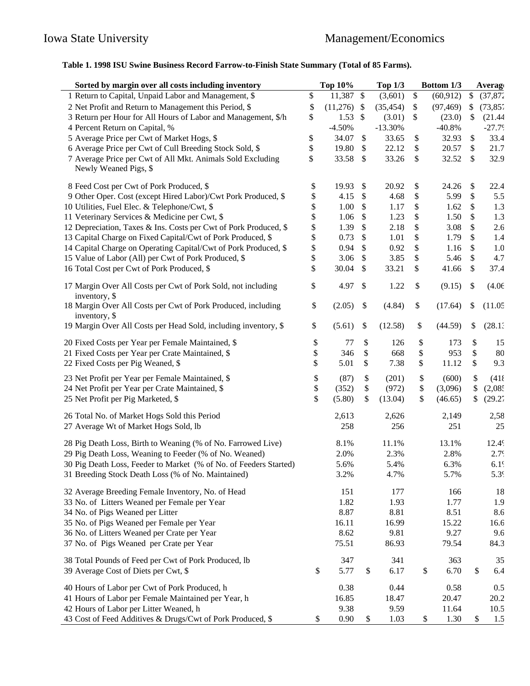## **Table 1. 1998 ISU Swine Business Record Farrow-to-Finish State Summary (Total of 85 Farms).**

| Sorted by margin over all costs including inventory                                 | <b>Top 10%</b>  |                           | <b>Top 1/3</b> | Bottom 1/3      | <b>Average</b>   |
|-------------------------------------------------------------------------------------|-----------------|---------------------------|----------------|-----------------|------------------|
| 1 Return to Capital, Unpaid Labor and Management, \$                                | \$<br>11,387 \$ |                           | (3,601)        | \$<br>(60, 912) | \$<br>(37, 87)   |
| 2 Net Profit and Return to Management this Period, \$                               | \$<br>(11,276)  | \$                        | (35, 454)      | \$<br>(97, 469) | \$<br>(73, 85)   |
| 3 Return per Hour for All Hours of Labor and Management, \$/h                       | \$<br>$1.53$ \$ |                           | (3.01)         | \$<br>(23.0)    | \$<br>(21.44)    |
| 4 Percent Return on Capital, %                                                      | $-4.50%$        |                           | $-13.30%$      | $-40.8%$        | $-27.79$         |
| 5 Average Price per Cwt of Market Hogs, \$                                          | \$<br>34.07     | \$                        | 33.65          | \$<br>32.93     | \$<br>33.4       |
| 6 Average Price per Cwt of Cull Breeding Stock Sold, \$                             | \$<br>19.80     | \$                        | 22.12          | \$<br>20.57     | \$<br>21.7       |
| 7 Average Price per Cwt of All Mkt. Animals Sold Excluding<br>Newly Weaned Pigs, \$ | \$<br>33.58     | $\boldsymbol{\mathsf{S}}$ | 33.26          | \$<br>32.52     | \$<br>32.9       |
| 8 Feed Cost per Cwt of Pork Produced, \$                                            | \$<br>19.93     | \$                        | 20.92          | \$<br>24.26     | \$<br>22.4       |
| 9 Other Oper. Cost (except Hired Labor)/Cwt Pork Produced, \$                       | \$<br>4.15      | \$                        | 4.68           | \$<br>5.99      | \$<br>5.5        |
| 10 Utilities, Fuel Elec. & Telephone/Cwt, \$                                        | \$<br>1.00      | $\boldsymbol{\mathsf{S}}$ | 1.17           | \$<br>1.62      | \$<br>1.3        |
| 11 Veterinary Services & Medicine per Cwt, \$                                       | \$<br>1.06      | \$                        | 1.23           | \$<br>1.50      | \$<br>1.3        |
| 12 Depreciation, Taxes & Ins. Costs per Cwt of Pork Produced, \$                    | \$<br>1.39      | \$                        | 2.18           | \$<br>3.08      | \$<br>2.6        |
| 13 Capital Charge on Fixed Capital/Cwt of Pork Produced, \$                         | \$<br>0.73      | \$                        | 1.01           | \$<br>1.79      | \$<br>1.4        |
| 14 Capital Charge on Operating Capital/Cwt of Pork Produced, \$                     | \$<br>0.94      | \$                        | 0.92           | \$<br>1.16      | \$<br>$1.0\,$    |
| 15 Value of Labor (All) per Cwt of Pork Produced, \$                                | \$<br>3.06      | \$                        | 3.85           | \$<br>5.46      | \$<br>4.7        |
| 16 Total Cost per Cwt of Pork Produced, \$                                          | \$<br>30.04     | \$                        | 33.21          | \$<br>41.66     | \$<br>37.4       |
| 17 Margin Over All Costs per Cwt of Pork Sold, not including<br>inventory, \$       | \$<br>4.97      | \$                        | 1.22           | \$<br>(9.15)    | \$<br>(4.06)     |
| 18 Margin Over All Costs per Cwt of Pork Produced, including<br>inventory, \$       | \$<br>(2.05)    | \$                        | (4.84)         | \$<br>(17.64)   | \$<br>(11.05)    |
| 19 Margin Over All Costs per Head Sold, including inventory, \$                     | \$<br>(5.61)    | \$                        | (12.58)        | \$<br>(44.59)   | \$<br>(28.1)     |
| 20 Fixed Costs per Year per Female Maintained, \$                                   | \$<br>77        | \$                        | 126            | \$<br>173       | \$<br>15         |
| 21 Fixed Costs per Year per Crate Maintained, \$                                    | \$<br>346       | \$                        | 668            | \$<br>953       | \$<br>80         |
| 22 Fixed Costs per Pig Weaned, \$                                                   | \$<br>5.01      | \$                        | 7.38           | \$<br>11.12     | \$<br>9.3        |
| 23 Net Profit per Year per Female Maintained, \$                                    | \$<br>(87)      | \$                        | (201)          | \$<br>(600)     | \$<br>(418)      |
| 24 Net Profit per Year per Crate Maintained, \$                                     | \$<br>(352)     | \$                        | (972)          | \$<br>(3,096)   | \$<br>(2,08)     |
| 25 Net Profit per Pig Marketed, \$                                                  | \$<br>(5.80)    | \$                        | (13.04)        | \$<br>(46.65)   | \$<br>(29.27)    |
| 26 Total No. of Market Hogs Sold this Period                                        | 2,613           |                           | 2,626          | 2,149           | 2,58             |
| 27 Average Wt of Market Hogs Sold, lb                                               | 258             |                           | 256            | 251             | 25               |
| 28 Pig Death Loss, Birth to Weaning (% of No. Farrowed Live)                        | 8.1%            |                           | 11.1%          | 13.1%           | 12.49            |
| 29 Pig Death Loss, Weaning to Feeder (% of No. Weaned)                              | 2.0%            |                           | 2.3%           | 2.8%            | 2.79             |
| 30 Pig Death Loss, Feeder to Market (% of No. of Feeders Started)                   | 5.6%            |                           | 5.4%           | 6.3%            | $6.1\%$          |
| 31 Breeding Stock Death Loss (% of No. Maintained)                                  | 3.2%            |                           | 4.7%           | 5.7%            | 5.3 <sup>c</sup> |
| 32 Average Breeding Female Inventory, No. of Head                                   | 151             |                           | 177            | 166             | 18               |
| 33 No. of Litters Weaned per Female per Year                                        | 1.82            |                           | 1.93           | 1.77            | 1.9              |
| 34 No. of Pigs Weaned per Litter                                                    | 8.87            |                           | 8.81           | 8.51            | 8.6              |
| 35 No. of Pigs Weaned per Female per Year                                           | 16.11           |                           | 16.99          | 15.22           | 16.6             |
| 36 No. of Litters Weaned per Crate per Year                                         | 8.62            |                           | 9.81           | 9.27            | 9.6              |
| 37 No. of Pigs Weaned per Crate per Year                                            | 75.51           |                           | 86.93          | 79.54           | 84.3             |
| 38 Total Pounds of Feed per Cwt of Pork Produced, lb                                | 347             |                           | 341            | 363             | 35               |
| 39 Average Cost of Diets per Cwt, \$                                                | \$<br>5.77      | \$                        | 6.17           | \$<br>6.70      | \$<br>6.4        |
| 40 Hours of Labor per Cwt of Pork Produced, h                                       | 0.38            |                           | 0.44           | 0.58            | 0.5              |
| 41 Hours of Labor per Female Maintained per Year, h                                 | 16.85           |                           | 18.47          | 20.47           | 20.2             |
| 42 Hours of Labor per Litter Weaned, h                                              | 9.38            |                           | 9.59           | 11.64           | 10.5             |
| 43 Cost of Feed Additives & Drugs/Cwt of Pork Produced, \$                          | \$<br>0.90      | \$                        | 1.03           | \$<br>1.30      | \$<br>1.5        |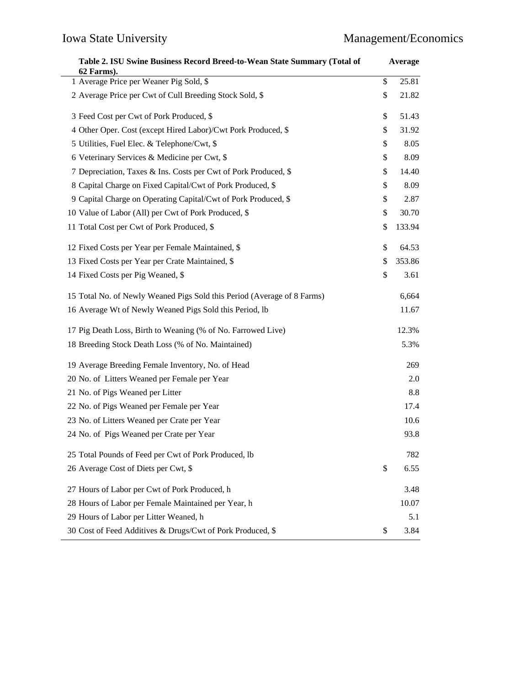| Table 2. ISU Swine Business Record Breed-to-Wean State Summary (Total of<br>62 Farms). |    | Average |  |
|----------------------------------------------------------------------------------------|----|---------|--|
| 1 Average Price per Weaner Pig Sold, \$                                                | \$ | 25.81   |  |
| 2 Average Price per Cwt of Cull Breeding Stock Sold, \$                                | \$ | 21.82   |  |
| 3 Feed Cost per Cwt of Pork Produced, \$                                               | \$ | 51.43   |  |
| 4 Other Oper. Cost (except Hired Labor)/Cwt Pork Produced, \$                          | \$ | 31.92   |  |
| 5 Utilities, Fuel Elec. & Telephone/Cwt, \$                                            | \$ | 8.05    |  |
| 6 Veterinary Services & Medicine per Cwt, \$                                           | \$ | 8.09    |  |
| 7 Depreciation, Taxes & Ins. Costs per Cwt of Pork Produced, \$                        | \$ | 14.40   |  |
| 8 Capital Charge on Fixed Capital/Cwt of Pork Produced, \$                             | \$ | 8.09    |  |
| 9 Capital Charge on Operating Capital/Cwt of Pork Produced, \$                         | \$ | 2.87    |  |
| 10 Value of Labor (All) per Cwt of Pork Produced, \$                                   | \$ | 30.70   |  |
| 11 Total Cost per Cwt of Pork Produced, \$                                             | \$ | 133.94  |  |
| 12 Fixed Costs per Year per Female Maintained, \$                                      | \$ | 64.53   |  |
| 13 Fixed Costs per Year per Crate Maintained, \$                                       | \$ | 353.86  |  |
| 14 Fixed Costs per Pig Weaned, \$                                                      | \$ | 3.61    |  |
| 15 Total No. of Newly Weaned Pigs Sold this Period (Average of 8 Farms)                |    | 6,664   |  |
| 16 Average Wt of Newly Weaned Pigs Sold this Period, lb                                |    | 11.67   |  |
| 17 Pig Death Loss, Birth to Weaning (% of No. Farrowed Live)                           |    | 12.3%   |  |
| 18 Breeding Stock Death Loss (% of No. Maintained)                                     |    | 5.3%    |  |
| 19 Average Breeding Female Inventory, No. of Head                                      |    | 269     |  |
| 20 No. of Litters Weaned per Female per Year                                           |    | 2.0     |  |
| 21 No. of Pigs Weaned per Litter                                                       |    | 8.8     |  |
| 22 No. of Pigs Weaned per Female per Year                                              |    | 17.4    |  |
| 23 No. of Litters Weaned per Crate per Year                                            |    | 10.6    |  |
| 24 No. of Pigs Weaned per Crate per Year                                               |    | 93.8    |  |
| 25 Total Pounds of Feed per Cwt of Pork Produced, lb                                   |    | 782     |  |
| 26 Average Cost of Diets per Cwt, \$                                                   | \$ | 6.55    |  |
| 27 Hours of Labor per Cwt of Pork Produced, h                                          |    | 3.48    |  |
| 28 Hours of Labor per Female Maintained per Year, h                                    |    | 10.07   |  |
| 29 Hours of Labor per Litter Weaned, h                                                 |    | 5.1     |  |
| 30 Cost of Feed Additives & Drugs/Cwt of Pork Produced, \$                             | \$ | 3.84    |  |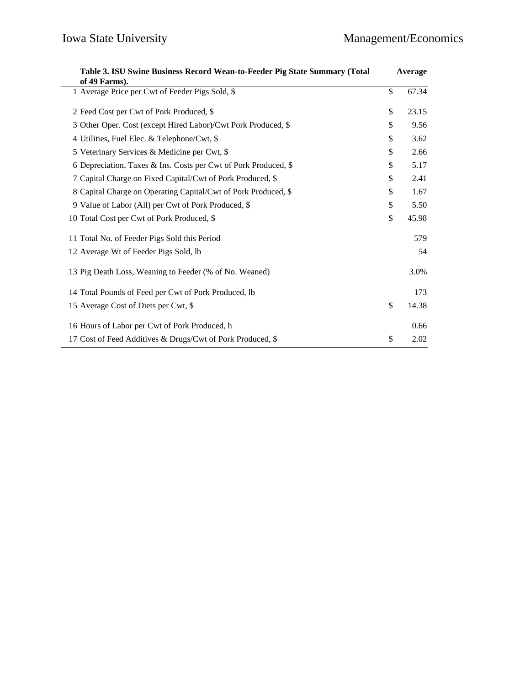| Table 3. ISU Swine Business Record Wean-to-Feeder Pig State Summary (Total<br>of 49 Farms). |    | Average |  |
|---------------------------------------------------------------------------------------------|----|---------|--|
| 1 Average Price per Cwt of Feeder Pigs Sold, \$                                             | \$ | 67.34   |  |
| 2 Feed Cost per Cwt of Pork Produced, \$                                                    | \$ | 23.15   |  |
| 3 Other Oper. Cost (except Hired Labor)/Cwt Pork Produced, \$                               | \$ | 9.56    |  |
| 4 Utilities, Fuel Elec. & Telephone/Cwt, \$                                                 | \$ | 3.62    |  |
| 5 Veterinary Services & Medicine per Cwt, \$                                                | \$ | 2.66    |  |
| 6 Depreciation, Taxes & Ins. Costs per Cwt of Pork Produced, \$                             | \$ | 5.17    |  |
| 7 Capital Charge on Fixed Capital/Cwt of Pork Produced, \$                                  | \$ | 2.41    |  |
| 8 Capital Charge on Operating Capital/Cwt of Pork Produced, \$                              | \$ | 1.67    |  |
| 9 Value of Labor (All) per Cwt of Pork Produced, \$                                         | \$ | 5.50    |  |
| 10 Total Cost per Cwt of Pork Produced, \$                                                  | \$ | 45.98   |  |
| 11 Total No. of Feeder Pigs Sold this Period                                                |    | 579     |  |
| 12 Average Wt of Feeder Pigs Sold, lb                                                       |    | 54      |  |
| 13 Pig Death Loss, Weaning to Feeder (% of No. Weaned)                                      |    | 3.0%    |  |
| 14 Total Pounds of Feed per Cwt of Pork Produced, lb                                        |    | 173     |  |
| 15 Average Cost of Diets per Cwt, \$                                                        | \$ | 14.38   |  |
| 16 Hours of Labor per Cwt of Pork Produced, h                                               |    | 0.66    |  |
| 17 Cost of Feed Additives & Drugs/Cwt of Pork Produced, \$                                  | \$ | 2.02    |  |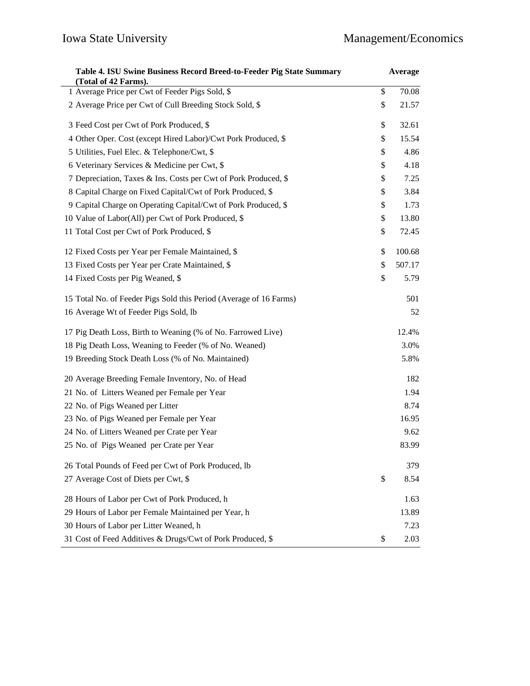| Table 4. ISU Swine Business Record Breed-to-Feeder Pig State Summary<br>(Total of 42 Farms). |    | Average |
|----------------------------------------------------------------------------------------------|----|---------|
| 1 Average Price per Cwt of Feeder Pigs Sold, \$                                              | \$ | 70.08   |
| 2 Average Price per Cwt of Cull Breeding Stock Sold, \$                                      | \$ | 21.57   |
| 3 Feed Cost per Cwt of Pork Produced, \$                                                     | \$ | 32.61   |
| 4 Other Oper. Cost (except Hired Labor)/Cwt Pork Produced, \$                                | \$ | 15.54   |
| 5 Utilities, Fuel Elec. & Telephone/Cwt, \$                                                  | \$ | 4.86    |
| 6 Veterinary Services & Medicine per Cwt, \$                                                 | \$ | 4.18    |
| 7 Depreciation, Taxes & Ins. Costs per Cwt of Pork Produced, \$                              | \$ | 7.25    |
| 8 Capital Charge on Fixed Capital/Cwt of Pork Produced, \$                                   | \$ | 3.84    |
| 9 Capital Charge on Operating Capital/Cwt of Pork Produced, \$                               | \$ | 1.73    |
| 10 Value of Labor(All) per Cwt of Pork Produced, \$                                          | \$ | 13.80   |
| 11 Total Cost per Cwt of Pork Produced, \$                                                   | \$ | 72.45   |
| 12 Fixed Costs per Year per Female Maintained, \$                                            | \$ | 100.68  |
| 13 Fixed Costs per Year per Crate Maintained, \$                                             | \$ | 507.17  |
| 14 Fixed Costs per Pig Weaned, \$                                                            | \$ | 5.79    |
| 15 Total No. of Feeder Pigs Sold this Period (Average of 16 Farms)                           |    | 501     |
| 16 Average Wt of Feeder Pigs Sold, lb                                                        |    | 52      |
| 17 Pig Death Loss, Birth to Weaning (% of No. Farrowed Live)                                 |    | 12.4%   |
| 18 Pig Death Loss, Weaning to Feeder (% of No. Weaned)                                       |    | 3.0%    |
| 19 Breeding Stock Death Loss (% of No. Maintained)                                           |    | 5.8%    |
| 20 Average Breeding Female Inventory, No. of Head                                            |    | 182     |
| 21 No. of Litters Weaned per Female per Year                                                 |    | 1.94    |
| 22 No. of Pigs Weaned per Litter                                                             |    | 8.74    |
| 23 No. of Pigs Weaned per Female per Year                                                    |    | 16.95   |
| 24 No. of Litters Weaned per Crate per Year                                                  |    | 9.62    |
| 25 No. of Pigs Weaned per Crate per Year                                                     |    | 83.99   |
| 26 Total Pounds of Feed per Cwt of Pork Produced, lb                                         |    | 379     |
| 27 Average Cost of Diets per Cwt, \$                                                         | \$ | 8.54    |
| 28 Hours of Labor per Cwt of Pork Produced, h                                                |    | 1.63    |
| 29 Hours of Labor per Female Maintained per Year, h                                          |    | 13.89   |
| 30 Hours of Labor per Litter Weaned, h                                                       |    | 7.23    |
| 31 Cost of Feed Additives & Drugs/Cwt of Pork Produced, \$                                   | \$ | 2.03    |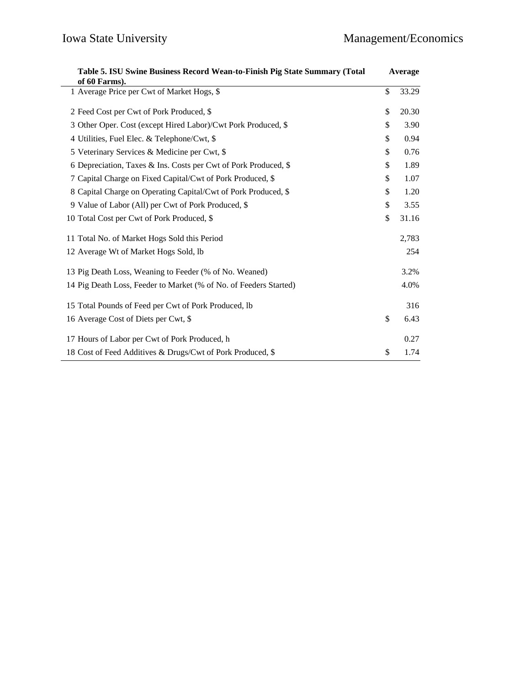| Table 5. ISU Swine Business Record Wean-to-Finish Pig State Summary (Total |    | Average |  |
|----------------------------------------------------------------------------|----|---------|--|
| of 60 Farms).<br>1 Average Price per Cwt of Market Hogs, \$                | \$ | 33.29   |  |
| 2 Feed Cost per Cwt of Pork Produced, \$                                   | \$ | 20.30   |  |
| 3 Other Oper. Cost (except Hired Labor)/Cwt Pork Produced, \$              | \$ | 3.90    |  |
| 4 Utilities, Fuel Elec. & Telephone/Cwt, \$                                | \$ | 0.94    |  |
| 5 Veterinary Services & Medicine per Cwt, \$                               | \$ | 0.76    |  |
| 6 Depreciation, Taxes & Ins. Costs per Cwt of Pork Produced, \$            | \$ | 1.89    |  |
| 7 Capital Charge on Fixed Capital/Cwt of Pork Produced, \$                 | \$ | 1.07    |  |
| 8 Capital Charge on Operating Capital/Cwt of Pork Produced, \$             | \$ | 1.20    |  |
| 9 Value of Labor (All) per Cwt of Pork Produced, \$                        | \$ | 3.55    |  |
| 10 Total Cost per Cwt of Pork Produced, \$                                 | \$ | 31.16   |  |
| 11 Total No. of Market Hogs Sold this Period                               |    | 2,783   |  |
| 12 Average Wt of Market Hogs Sold, lb                                      |    | 254     |  |
| 13 Pig Death Loss, Weaning to Feeder (% of No. Weaned)                     |    | 3.2%    |  |
| 14 Pig Death Loss, Feeder to Market (% of No. of Feeders Started)          |    | 4.0%    |  |
| 15 Total Pounds of Feed per Cwt of Pork Produced, lb                       |    | 316     |  |
| 16 Average Cost of Diets per Cwt, \$                                       | \$ | 6.43    |  |
| 17 Hours of Labor per Cwt of Pork Produced, h                              |    | 0.27    |  |
| 18 Cost of Feed Additives & Drugs/Cwt of Pork Produced, \$                 | \$ | 1.74    |  |